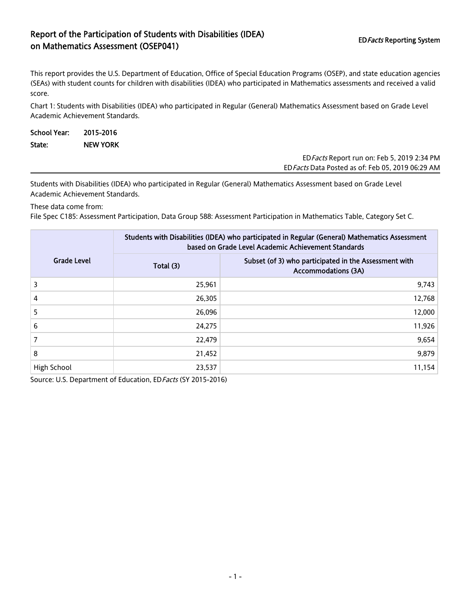## Report of the Participation of Students with Disabilities (IDEA) on Mathematics Assessment (OSEP041)<br>The Mathematics Assessment (OSEP041)

This report provides the U.S. Department of Education, Office of Special Education Programs (OSEP), and state education agencies (SEAs) with student counts for children with disabilities (IDEA) who participated in Mathematics assessments and received a valid score.

Chart 1: Students with Disabilities (IDEA) who participated in Regular (General) Mathematics Assessment based on Grade Level Academic Achievement Standards.

| School Year: | 2015-2016       |  |                                             |
|--------------|-----------------|--|---------------------------------------------|
| State:       | <b>NEW YORK</b> |  |                                             |
|              |                 |  | ED Facts Report run on: Feb 5, 2019 2:34 PM |

EDFacts Data Posted as of: Feb 05, 2019 06:29 AM

Students with Disabilities (IDEA) who participated in Regular (General) Mathematics Assessment based on Grade Level Academic Achievement Standards.

These data come from:

File Spec C185: Assessment Participation, Data Group 588: Assessment Participation in Mathematics Table, Category Set C.

|                    | Students with Disabilities (IDEA) who participated in Regular (General) Mathematics Assessment<br>based on Grade Level Academic Achievement Standards |                                                                                     |  |  |
|--------------------|-------------------------------------------------------------------------------------------------------------------------------------------------------|-------------------------------------------------------------------------------------|--|--|
| <b>Grade Level</b> | Total (3)                                                                                                                                             | Subset (of 3) who participated in the Assessment with<br><b>Accommodations (3A)</b> |  |  |
| 3                  | 25,961                                                                                                                                                | 9,743                                                                               |  |  |
| 4                  | 26,305                                                                                                                                                | 12,768                                                                              |  |  |
| 5                  | 26,096                                                                                                                                                | 12,000                                                                              |  |  |
| 6                  | 24,275                                                                                                                                                | 11,926                                                                              |  |  |
| 7                  | 22,479                                                                                                                                                | 9,654                                                                               |  |  |
| 8                  | 21,452                                                                                                                                                | 9,879                                                                               |  |  |
| High School        | 23,537                                                                                                                                                | 11,154                                                                              |  |  |

Source: U.S. Department of Education, ED Facts (SY 2015-2016)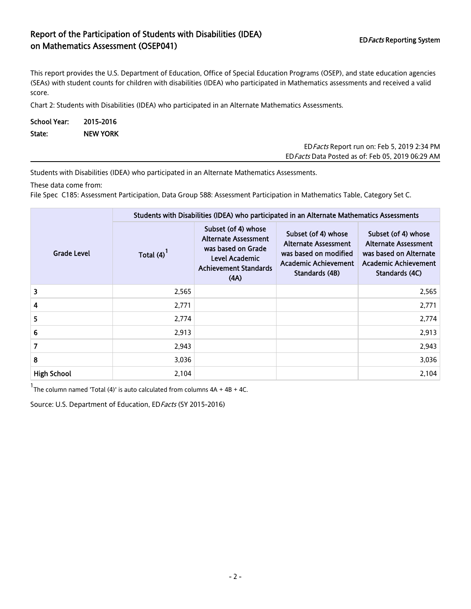## Report of the Participation of Students with Disabilities (IDEA) Report of the Farticipation of Staticitis with Bisabilities (IBE/V) FOR THE Reporting System<br>The Mathematics Assessment (OSEP041)

This report provides the U.S. Department of Education, Office of Special Education Programs (OSEP), and state education agencies (SEAs) with student counts for children with disabilities (IDEA) who participated in Mathematics assessments and received a valid score.

Chart 2: Students with Disabilities (IDEA) who participated in an Alternate Mathematics Assessments.

| School Year: 2015-2016 |                 |  |  |  |
|------------------------|-----------------|--|--|--|
| State:                 | <b>NEW YORK</b> |  |  |  |

| ED Facts Report run on: Feb 5, 2019 2:34 PM       |
|---------------------------------------------------|
| ED Facts Data Posted as of: Feb 05, 2019 06:29 AM |

Students with Disabilities (IDEA) who participated in an Alternate Mathematics Assessments.

These data come from:

File Spec C185: Assessment Participation, Data Group 588: Assessment Participation in Mathematics Table, Category Set C.

|                    | Students with Disabilities (IDEA) who participated in an Alternate Mathematics Assessments |                                                                                                                                    |                                                                                                                       |                                                                                                                        |  |  |
|--------------------|--------------------------------------------------------------------------------------------|------------------------------------------------------------------------------------------------------------------------------------|-----------------------------------------------------------------------------------------------------------------------|------------------------------------------------------------------------------------------------------------------------|--|--|
| <b>Grade Level</b> | Total $(4)$ <sup>1</sup>                                                                   | Subset (of 4) whose<br><b>Alternate Assessment</b><br>was based on Grade<br>Level Academic<br><b>Achievement Standards</b><br>(AA) | Subset (of 4) whose<br><b>Alternate Assessment</b><br>was based on modified<br>Academic Achievement<br>Standards (4B) | Subset (of 4) whose<br><b>Alternate Assessment</b><br>was based on Alternate<br>Academic Achievement<br>Standards (4C) |  |  |
| 3                  | 2,565                                                                                      |                                                                                                                                    |                                                                                                                       | 2,565                                                                                                                  |  |  |
| 4                  | 2,771                                                                                      |                                                                                                                                    |                                                                                                                       | 2,771                                                                                                                  |  |  |
| 5                  | 2,774                                                                                      |                                                                                                                                    |                                                                                                                       | 2,774                                                                                                                  |  |  |
| $6\,$              | 2,913                                                                                      |                                                                                                                                    |                                                                                                                       | 2,913                                                                                                                  |  |  |
| $\overline{7}$     | 2,943                                                                                      |                                                                                                                                    |                                                                                                                       | 2,943                                                                                                                  |  |  |
| 8                  | 3,036                                                                                      |                                                                                                                                    |                                                                                                                       | 3,036                                                                                                                  |  |  |
| <b>High School</b> | 2,104                                                                                      |                                                                                                                                    |                                                                                                                       | 2,104                                                                                                                  |  |  |

<sup>1</sup>The column named 'Total (4)' is auto calculated from columns  $4A + 4B + 4C$ .

Source: U.S. Department of Education, ED Facts (SY 2015-2016)